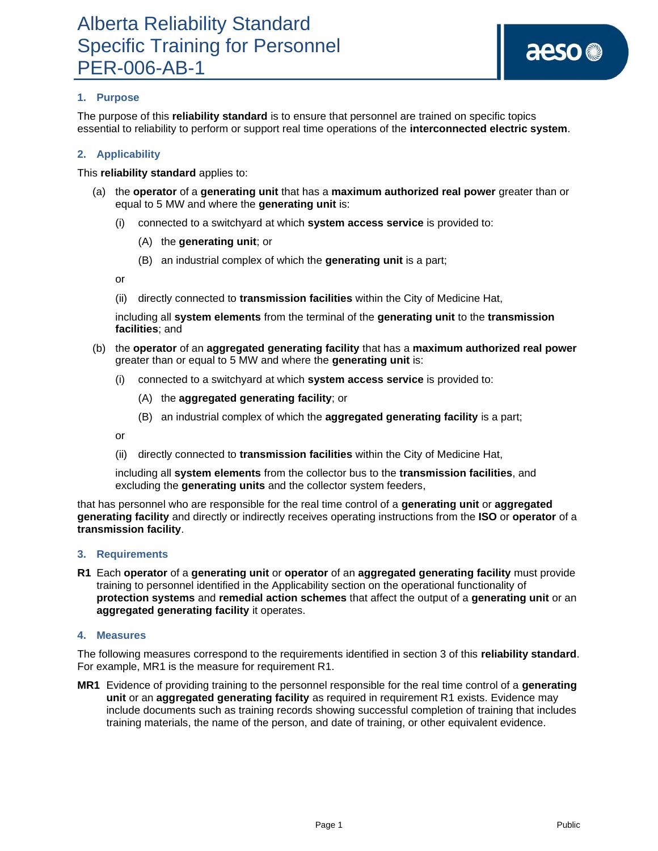### **1. Purpose**

The purpose of this **reliability standard** is to ensure that personnel are trained on specific topics essential to reliability to perform or support real time operations of the **interconnected electric system**.

#### **2. Applicability**

This **reliability standard** applies to:

- (a) the **operator** of a **generating unit** that has a **maximum authorized real power** greater than or equal to 5 MW and where the **generating unit** is:
	- (i) connected to a switchyard at which **system access service** is provided to:
		- (A) the **generating unit**; or
		- (B) an industrial complex of which the **generating unit** is a part;

or

(ii) directly connected to **transmission facilities** within the City of Medicine Hat,

including all **system elements** from the terminal of the **generating unit** to the **transmission facilities**; and

- (b) the **operator** of an **aggregated generating facility** that has a **maximum authorized real power** greater than or equal to 5 MW and where the **generating unit** is:
	- (i) connected to a switchyard at which **system access service** is provided to:
		- (A) the **aggregated generating facility**; or
		- (B) an industrial complex of which the **aggregated generating facility** is a part;

or

(ii) directly connected to **transmission facilities** within the City of Medicine Hat,

including all **system elements** from the collector bus to the **transmission facilities**, and excluding the **generating units** and the collector system feeders,

that has personnel who are responsible for the real time control of a **generating unit** or **aggregated generating facility** and directly or indirectly receives operating instructions from the **ISO** or **operator** of a **transmission facility**.

#### **3. Requirements**

**R1** Each **operator** of a **generating unit** or **operator** of an **aggregated generating facility** must provide training to personnel identified in the Applicability section on the operational functionality of **protection systems** and **remedial action schemes** that affect the output of a **generating unit** or an **aggregated generating facility** it operates.

#### **4. Measures**

The following measures correspond to the requirements identified in section 3 of this **reliability standard**. For example, MR1 is the measure for requirement R1.

**MR1** Evidence of providing training to the personnel responsible for the real time control of a **generating unit** or an **aggregated generating facility** as required in requirement R1 exists. Evidence may include documents such as training records showing successful completion of training that includes training materials, the name of the person, and date of training, or other equivalent evidence.